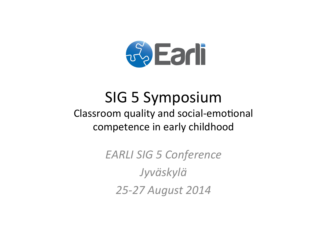

# **SIG 5 Symposium** Classroom quality and social-emotional competence in early childhood

**EARLI SIG 5 Conference** Jyväskylä 25-27 August 2014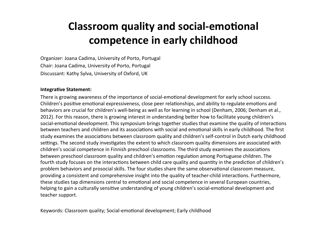## **Classroom quality and social-emotional** competence in early childhood

Organizer: Joana Cadima, University of Porto, Portugal Chair: Joana Cadima, University of Porto, Portugal Discussant: Kathy Sylva, University of Oxford, UK

#### **Integrative Statement:**

There is growing awareness of the importance of social-emotional development for early school success. Children's positive emotional expressiveness, close peer relationships, and ability to regulate emotions and behaviors are crucial for children's well-being as well as for learning in school (Denham, 2006; Denham et al., 2012). For this reason, there is growing interest in understanding better how to facilitate young children's social-emotional development. This symposium brings together studies that examine the quality of interactions between teachers and children and its associations with social and emotional skills in early childhood. The first study examines the associations between classroom quality and children's self-control in Dutch early childhood settings. The second study investigates the extent to which classroom quality dimensions are associated with children's social competence in Finnish preschool classrooms. The third study examines the associations between preschool classroom quality and children's emotion regulation among Portuguese children. The fourth study focuses on the interactions between child care quality and quantity in the prediction of children's problem behaviors and prosocial skills. The four studies share the same observational classroom measure, providing a consistent and comprehensive insight into the quality of teacher-child interactions. Furthermore, these studies tap dimensions central to emotional and social competence in several European countries, helping to gain a culturally sensitive understanding of young children's social-emotional development and teacher support.

Keywords: Classroom quality; Social-emotional development; Early childhood